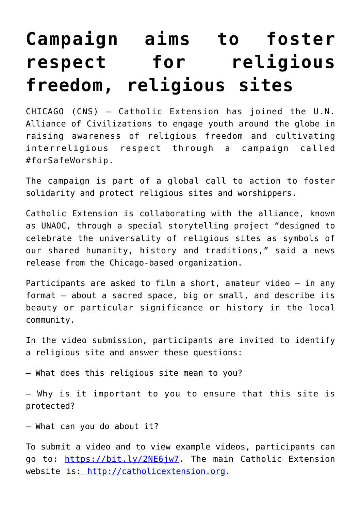## **[Campaign aims to foster](https://www.osvnews.com/2021/02/25/campaign-aims-to-foster-respect-for-religious-freedom-religious-sites/) [respect for religious](https://www.osvnews.com/2021/02/25/campaign-aims-to-foster-respect-for-religious-freedom-religious-sites/) [freedom, religious sites](https://www.osvnews.com/2021/02/25/campaign-aims-to-foster-respect-for-religious-freedom-religious-sites/)**

CHICAGO (CNS) — Catholic Extension has joined the U.N. Alliance of Civilizations to engage youth around the globe in raising awareness of religious freedom and cultivating interreligious respect through a campaign called #forSafeWorship.

The campaign is part of a global call to action to foster solidarity and protect religious sites and worshippers.

Catholic Extension is collaborating with the alliance, known as UNAOC, through a special storytelling project "designed to celebrate the universality of religious sites as symbols of our shared humanity, history and traditions," said a news release from the Chicago-based organization.

Participants are asked to film a short, amateur video — in any format — about a sacred space, big or small, and describe its beauty or particular significance or history in the local community.

In the video submission, participants are invited to identify a religious site and answer these questions:

— What does this religious site mean to you?

— Why is it important to you to ensure that this site is protected?

— What can you do about it?

To submit a video and to view example videos, participants can go to: [https://bit.ly/2NE6jw7.](https://bit.ly/2NE6jw7) The main Catholic Extension website is: [http://catholicextension.org.](http://catholicextension.org)